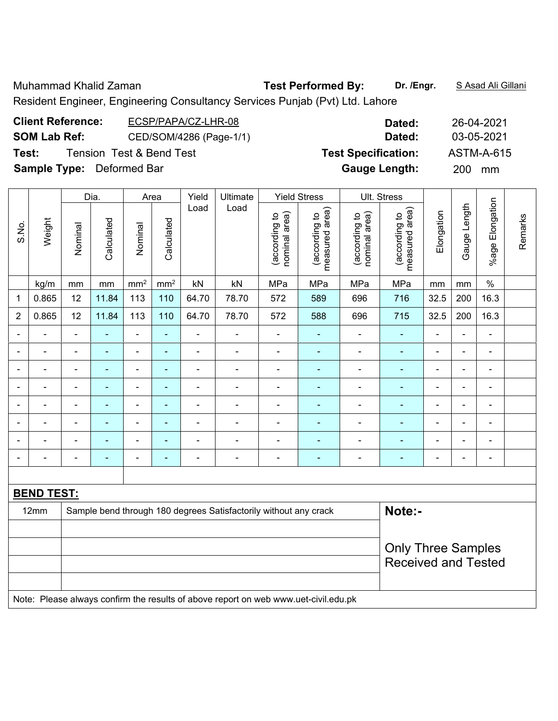Muhammad Khalid Zaman **Test Performed By: Dr. /Engr.** S Asad Ali Gillani

Resident Engineer, Engineering Consultancy Services Punjab (Pvt) Ltd. Lahore

| <b>Client Reference:</b>         | ECSP/PAPA/CZ-LHR-08                 | Dated:                     | 26-04-2021       |
|----------------------------------|-------------------------------------|----------------------------|------------------|
| <b>SOM Lab Ref:</b>              | CED/SOM/4286 (Page-1/1)             | Dated:                     | 03-05-2021       |
| Test:                            | <b>Tension Test &amp; Bend Test</b> | <b>Test Specification:</b> | ASTM-A-615       |
| <b>Sample Type:</b> Deformed Bar |                                     | <b>Gauge Length:</b>       | <b>200</b><br>mm |

|                |                   |                | Dia.           |                 | Area           |                          | Yield<br>Ultimate                                                                   |                                | <b>Yield Stress</b>             | Ult. Stress                    |                                 |                |                |                          |         |
|----------------|-------------------|----------------|----------------|-----------------|----------------|--------------------------|-------------------------------------------------------------------------------------|--------------------------------|---------------------------------|--------------------------------|---------------------------------|----------------|----------------|--------------------------|---------|
| S.No.          | Weight            | Nominal        | Calculated     | Nominal         | Calculated     | Load                     | Load                                                                                | (according to<br>nominal area) | measured area)<br>(according to | (according to<br>nominal area) | measured area)<br>(according to | Elongation     | Gauge Length   | %age Elongation          | Remarks |
|                | kg/m              | mm             | mm             | mm <sup>2</sup> | $\rm mm^2$     | kN                       | kN                                                                                  | MPa                            | MPa                             | MPa                            | MPa                             | mm             | mm             | $\%$                     |         |
| 1              | 0.865             | 12             | 11.84          | 113             | 110            | 64.70                    | 78.70                                                                               | 572                            | 589                             | 696                            | 716                             | 32.5           | 200            | 16.3                     |         |
| $\overline{2}$ | 0.865             | 12             | 11.84          | 113             | 110            | 64.70                    | 78.70                                                                               | 572                            | 588                             | 696                            | 715                             | 32.5           | 200            | 16.3                     |         |
|                |                   | $\blacksquare$ |                | ۰               | ۰              | ÷.                       |                                                                                     |                                |                                 | $\blacksquare$                 |                                 |                | $\blacksquare$ | $\blacksquare$           |         |
|                | -                 | $\blacksquare$ | $\blacksquare$ | ÷               | ۰              | ä,                       | $\blacksquare$                                                                      | $\blacksquare$                 | ٠                               | $\blacksquare$                 | $\blacksquare$                  | L,             | $\blacksquare$ | $\blacksquare$           |         |
| $\blacksquare$ | -                 | $\blacksquare$ | $\blacksquare$ | $\blacksquare$  | $\blacksquare$ | $\overline{\phantom{0}}$ | $\blacksquare$                                                                      | $\blacksquare$                 | ۰                               | $\overline{\phantom{0}}$       | $\blacksquare$                  | $\blacksquare$ | $\blacksquare$ | $\overline{\phantom{a}}$ |         |
|                | ÷,                | $\blacksquare$ | ÷,             | $\blacksquare$  | $\blacksquare$ | $\overline{a}$           | $\overline{a}$                                                                      | $\qquad \qquad \blacksquare$   | $\blacksquare$                  | $\overline{a}$                 | $\blacksquare$                  | $\blacksquare$ | $\blacksquare$ | $\blacksquare$           |         |
| ۰              | -                 | $\blacksquare$ | $\blacksquare$ | ÷               | $\blacksquare$ | $\overline{a}$           | $\overline{a}$                                                                      | $\blacksquare$                 | ۰                               | $\overline{a}$                 | $\blacksquare$                  | L,             | $\blacksquare$ | $\overline{\phantom{a}}$ |         |
|                |                   |                | ۰              | $\blacksquare$  | $\blacksquare$ | $\blacksquare$           |                                                                                     |                                |                                 |                                | $\blacksquare$                  |                |                | $\blacksquare$           |         |
|                |                   |                |                | $\blacksquare$  | ۰              | $\blacksquare$           | $\blacksquare$                                                                      |                                |                                 |                                |                                 |                |                | L.                       |         |
| ۰              | -                 | $\blacksquare$ | ٠              | ÷               | ۰              | $\overline{a}$           | $\overline{a}$                                                                      | $\blacksquare$                 | ۰                               | $\blacksquare$                 | $\blacksquare$                  | $\blacksquare$ | $\blacksquare$ | $\blacksquare$           |         |
|                |                   |                |                |                 |                |                          |                                                                                     |                                |                                 |                                |                                 |                |                |                          |         |
|                | <b>BEND TEST:</b> |                |                |                 |                |                          |                                                                                     |                                |                                 |                                |                                 |                |                |                          |         |
|                | 12mm              |                |                |                 |                |                          | Sample bend through 180 degrees Satisfactorily without any crack                    |                                |                                 |                                | Note:-                          |                |                |                          |         |
|                |                   |                |                |                 |                |                          |                                                                                     |                                |                                 |                                |                                 |                |                |                          |         |
|                |                   |                |                |                 |                |                          |                                                                                     |                                |                                 |                                | <b>Only Three Samples</b>       |                |                |                          |         |
|                |                   |                |                |                 |                |                          |                                                                                     |                                |                                 |                                | <b>Received and Tested</b>      |                |                |                          |         |
|                |                   |                |                |                 |                |                          |                                                                                     |                                |                                 |                                |                                 |                |                |                          |         |
|                |                   |                |                |                 |                |                          | Note: Please always confirm the results of above report on web www.uet-civil.edu.pk |                                |                                 |                                |                                 |                |                |                          |         |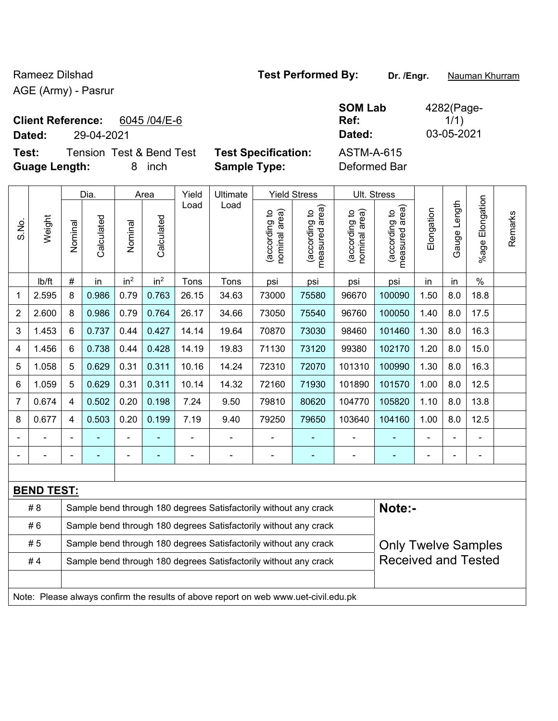AGE (Army) - Pasrur

**Client Reference:** 6045 /04/E-6

**Dated:** 29-04-2021 **Dated:** 03-05-2021

| <b>Tension Test &amp; Bend Test</b><br>Test:<br><b>Guage Length:</b> |        |         |                    | 8       | inch               |               | <b>Sample Type:</b> | <b>Test Specification:</b>              |                                                                          | <b>ASTM-A-615</b><br>Deformed Bar                                       |                                              |            |                 |
|----------------------------------------------------------------------|--------|---------|--------------------|---------|--------------------|---------------|---------------------|-----------------------------------------|--------------------------------------------------------------------------|-------------------------------------------------------------------------|----------------------------------------------|------------|-----------------|
| S.No.                                                                | Weight | Nominal | Dia.<br>Calculated | Nominal | Area<br>Calculated | Yield<br>Load | Ultimate<br>Load    | ea)<br>್ರೆ<br>(according<br>nominal are | <b>Yield Stress</b><br>area)<br>$\overline{c}$<br>(according<br>measured | Ult. Stress<br>ea)<br>$\overline{5}$<br>rding<br>ಹ<br>nominal<br>(accor | rea)<br>٥,<br>(according<br>ဥ<br>5<br>ω<br>Φ | Elongation | Length<br>Gauge |

|                |                                                                         |                                                                  | Dia.       |                 | Area            | Yield | Ultimate |                                | Yield Stress                    |                                | UII. Stress                        |            |                   |                       |         |
|----------------|-------------------------------------------------------------------------|------------------------------------------------------------------|------------|-----------------|-----------------|-------|----------|--------------------------------|---------------------------------|--------------------------------|------------------------------------|------------|-------------------|-----------------------|---------|
| S.No.          | Weight                                                                  | Nominal                                                          | Calculated | Nominal         | Calculated      | Load  | Load     | nominal area)<br>(according to | measured area)<br>(according to | nominal area)<br>(according to | area)<br>(according to<br>measured | Elongation | Length<br>Gauge I | Elongation<br>$%$ age | Remarks |
|                | lb/ft                                                                   | #                                                                | in         | in <sup>2</sup> | in <sup>2</sup> | Tons  | Tons     | psi                            | psi                             | psi                            | psi                                | in         | in                | $\%$                  |         |
| 1              | 2.595                                                                   | 8                                                                | 0.986      | 0.79            | 0.763           | 26.15 | 34.63    | 73000                          | 75580                           | 96670                          | 100090                             | 1.50       | 8.0               | 18.8                  |         |
| 2              | 2.600                                                                   | 8                                                                | 0.986      | 0.79            | 0.764           | 26.17 | 34.66    | 73050                          | 75540                           | 96760                          | 100050                             | 1.40       | 8.0               | 17.5                  |         |
| 3              | 1.453                                                                   | 6                                                                | 0.737      | 0.44            | 0.427           | 14.14 | 19.64    | 70870                          | 73030                           | 98460                          | 101460                             | 1.30       | 8.0               | 16.3                  |         |
| 4              | 1.456                                                                   | 6                                                                | 0.738      | 0.44            | 0.428           | 14.19 | 19.83    | 71130                          | 73120                           | 99380                          | 102170                             | 1.20       | 8.0               | 15.0                  |         |
| 5              | 1.058                                                                   | 5                                                                | 0.629      | 0.31            | 0.311           | 10.16 | 14.24    | 72310                          | 72070                           | 101310                         | 100990                             | 1.30       | 8.0               | 16.3                  |         |
| 6              | 1.059                                                                   | 5                                                                | 0.629      | 0.31            | 0.311           | 10.14 | 14.32    | 72160                          | 71930                           | 101890                         | 101570                             | 1.00       | 8.0               | 12.5                  |         |
| $\overline{7}$ | 0.674                                                                   | 4                                                                | 0.502      | 0.20            | 0.198           | 7.24  | 9.50     | 79810                          | 80620                           | 104770                         | 105820                             | 1.10       | 8.0               | 13.8                  |         |
| 8              | 0.677                                                                   | 4                                                                | 0.503      | 0.20            | 0.199           | 7.19  | 9.40     | 79250                          | 79650                           | 103640                         | 104160                             | 1.00       | 8.0               | 12.5                  |         |
|                |                                                                         |                                                                  |            |                 |                 |       |          |                                |                                 |                                |                                    |            |                   |                       |         |
|                |                                                                         |                                                                  |            |                 |                 |       |          |                                |                                 |                                |                                    |            |                   |                       |         |
|                |                                                                         |                                                                  |            |                 |                 |       |          |                                |                                 |                                |                                    |            |                   |                       |         |
|                | <b>BEND TEST:</b>                                                       |                                                                  |            |                 |                 |       |          |                                |                                 |                                |                                    |            |                   |                       |         |
|                | # 8<br>Sample bend through 180 degrees Satisfactorily without any crack |                                                                  |            |                 |                 |       |          |                                | Note:-                          |                                |                                    |            |                   |                       |         |
|                | #6                                                                      | Sample bend through 180 degrees Satisfactorily without any crack |            |                 |                 |       |          |                                |                                 |                                |                                    |            |                   |                       |         |

|    | <b>Campio Dona amodyn 100 dogrood Calibrations Williogl any Graph</b>               |                            |  |  |  |  |  |  |  |  |  |
|----|-------------------------------------------------------------------------------------|----------------------------|--|--|--|--|--|--|--|--|--|
| #5 | Sample bend through 180 degrees Satisfactorily without any crack                    | <b>Only Twelve Samples</b> |  |  |  |  |  |  |  |  |  |
| #4 | Sample bend through 180 degrees Satisfactorily without any crack                    | <b>Received and Tested</b> |  |  |  |  |  |  |  |  |  |
|    |                                                                                     |                            |  |  |  |  |  |  |  |  |  |
|    | Note: Please always confirm the results of above report on web www.uet-civil edu nk |                            |  |  |  |  |  |  |  |  |  |

confirm the results of above report on web www.uet-civil.edu.pk

**SOM Lab Ref:** 

4282(Page- $1/1)$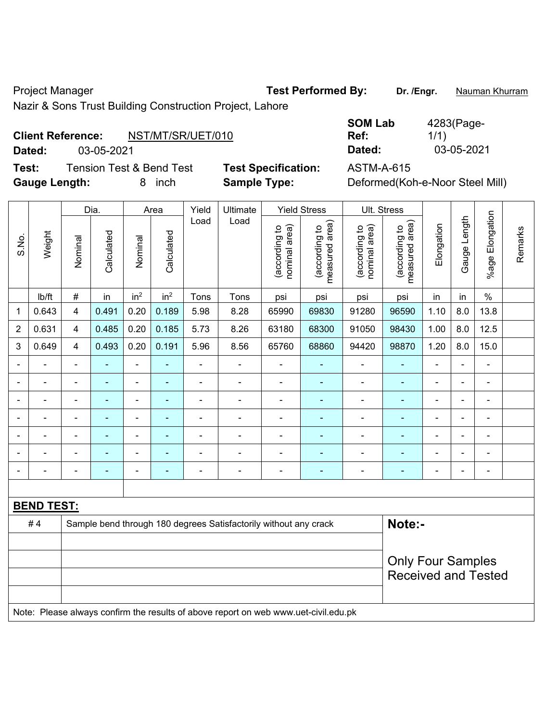Project Manager **Test Performed By:** Dr. /Engr. **Nauman Khurram** 

Nazir & Sons Trust Building Construction Project, Lahore

## **Client Reference:** NST/MT/SR/UET/010

**Dated:** 03-05-2021 **Dated:** 03-05-2021

**Test:** Tension Test & Bend Test **Test Specification:** ASTM-A-615 **Gauge Length:** 8 inch **Sample Type:** Deformed(Koh-e-Noor Steel Mill)

| <b>SOM Lab</b> | 4283(Page- |
|----------------|------------|
| Ref:           | 1/1)       |
| Dated:         | 03-05-2021 |

|                |                   |                | Dia.           |                          | Area            | Yield          | Ultimate                                                                            |                                | <b>Yield Stress</b>             |                                | Ult. Stress                     |                |                |                          |         |
|----------------|-------------------|----------------|----------------|--------------------------|-----------------|----------------|-------------------------------------------------------------------------------------|--------------------------------|---------------------------------|--------------------------------|---------------------------------|----------------|----------------|--------------------------|---------|
| S.No.          | Weight            | Nominal        | Calculated     | Nominal                  | Calculated      | Load           | Load                                                                                | nominal area)<br>(according to | measured area)<br>(according to | nominal area)<br>(according to | measured area)<br>(according to | Elongation     | Gauge Length   | %age Elongation          | Remarks |
|                | Ib/ft             | $\#$           | in             | in <sup>2</sup>          | in <sup>2</sup> | Tons           | Tons                                                                                | psi                            | psi                             | psi                            | psi                             | in             | in             | $\%$                     |         |
| 1              | 0.643             | $\overline{4}$ | 0.491          | 0.20                     | 0.189           | 5.98           | 8.28                                                                                | 65990                          | 69830                           | 91280                          | 96590                           | 1.10           | 8.0            | 13.8                     |         |
| $\overline{2}$ | 0.631             | $\overline{4}$ | 0.485          | 0.20                     | 0.185           | 5.73           | 8.26                                                                                | 63180                          | 68300                           | 91050                          | 98430                           | 1.00           | 8.0            | 12.5                     |         |
| 3              | 0.649             | $\overline{4}$ | 0.493          | 0.20                     | 0.191           | 5.96           | 8.56                                                                                | 65760                          | 68860                           | 94420                          | 98870                           | 1.20           | 8.0            | 15.0                     |         |
|                |                   |                |                | $\blacksquare$           |                 | $\blacksquare$ | ÷                                                                                   |                                |                                 | $\blacksquare$                 | $\blacksquare$                  | $\blacksquare$ |                | $\blacksquare$           |         |
|                |                   |                | $\blacksquare$ | ۰                        | ٠               | $\blacksquare$ | $\blacksquare$                                                                      | $\blacksquare$                 |                                 | -                              | $\blacksquare$                  | $\blacksquare$ |                | $\overline{\phantom{a}}$ |         |
| $\blacksquare$ | $\blacksquare$    | $\blacksquare$ | ÷              | $\overline{\phantom{0}}$ | ۰               | $\blacksquare$ | $\blacksquare$                                                                      | $\blacksquare$                 |                                 | ÷                              | L,                              | $\blacksquare$ | $\blacksquare$ | $\overline{\phantom{a}}$ |         |
| $\blacksquare$ | $\blacksquare$    | $\blacksquare$ | ä,             | $\blacksquare$           | ٠               | $\blacksquare$ | ÷                                                                                   | $\blacksquare$                 | $\blacksquare$                  | ÷,                             | $\blacksquare$                  | $\blacksquare$ | $\blacksquare$ | $\blacksquare$           |         |
|                | ä,                |                | ÷              | ÷,                       | ۰               | $\blacksquare$ | ä,                                                                                  | L,                             | $\blacksquare$                  | ä,                             | Ē,                              | $\blacksquare$ | $\blacksquare$ | $\blacksquare$           |         |
|                | $\blacksquare$    | $\blacksquare$ | ÷,             | $\overline{\phantom{0}}$ | ٠               | $\blacksquare$ | ä,                                                                                  | $\blacksquare$                 | $\blacksquare$                  | $\overline{\phantom{0}}$       | $\blacksquare$                  | $\blacksquare$ |                | $\blacksquare$           |         |
|                |                   |                | ÷              | ÷                        | ٠               | ä,             | ä,                                                                                  | Ē,                             | $\blacksquare$                  | ä,                             | Ē,                              |                |                | ÷,                       |         |
|                |                   |                |                |                          |                 |                |                                                                                     |                                |                                 |                                |                                 |                |                |                          |         |
|                | <b>BEND TEST:</b> |                |                |                          |                 |                |                                                                                     |                                |                                 |                                |                                 |                |                |                          |         |
|                | #4                |                |                |                          |                 |                | Sample bend through 180 degrees Satisfactorily without any crack                    |                                |                                 |                                | Note:-                          |                |                |                          |         |
|                |                   |                |                |                          |                 |                |                                                                                     |                                |                                 |                                |                                 |                |                |                          |         |
|                |                   |                |                |                          |                 |                |                                                                                     |                                |                                 |                                | <b>Only Four Samples</b>        |                |                |                          |         |
|                |                   |                |                |                          |                 |                |                                                                                     |                                |                                 |                                | <b>Received and Tested</b>      |                |                |                          |         |
|                |                   |                |                |                          |                 |                |                                                                                     |                                |                                 |                                |                                 |                |                |                          |         |
|                |                   |                |                |                          |                 |                | Note: Please always confirm the results of above report on web www.uet-civil.edu.pk |                                |                                 |                                |                                 |                |                |                          |         |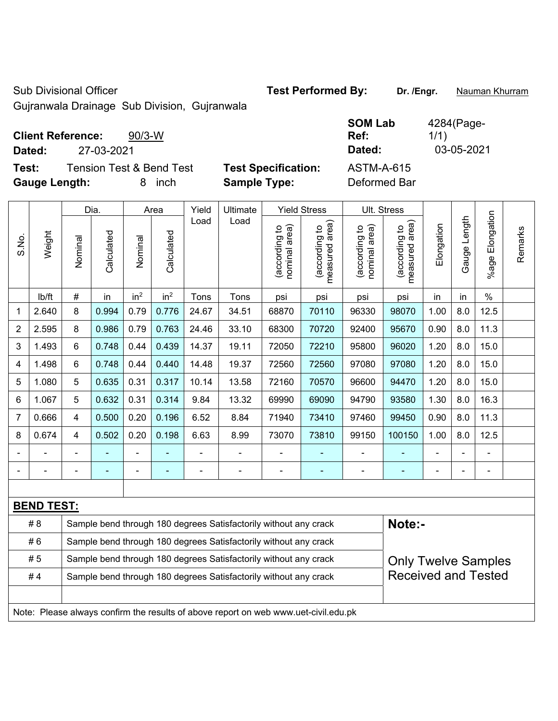Sub Divisional Officer **Test Performed By:** Dr. /Engr. **Nauman Khurram** 

Gujranwala Drainage Sub Division, Gujranwala

| <b>Client Reference:</b> | $90/3-W$ |
|--------------------------|----------|
|                          |          |

**Dated:** 27-03-2021 **Dated:** 03-05-2021

**Test:** Tension Test & Bend Test **Test Specification: Gauge Length:** 8 inch **Sample Type:** Deformed Bar

| <b>SOM Lab</b>    | 4284(Page- |
|-------------------|------------|
| Ref:              | 1/1)       |
| Dated:            | 03-05-2021 |
| <b>ASTM-A-615</b> |            |

|                |                   |                                                                  | Dia.       |                 | Area            | Yield                    | Ultimate                                                                            |                                | <b>Yield Stress</b>             |                                | Ult. Stress                     |                |              |                       |         |
|----------------|-------------------|------------------------------------------------------------------|------------|-----------------|-----------------|--------------------------|-------------------------------------------------------------------------------------|--------------------------------|---------------------------------|--------------------------------|---------------------------------|----------------|--------------|-----------------------|---------|
| S.No.          | Weight            | Nominal                                                          | Calculated | Nominal         | Calculated      | Load                     | Load                                                                                | nominal area)<br>(according to | (according to<br>measured area) | nominal area)<br>(according to | (according to<br>measured area) | Elongation     | Gauge Length | Elongation<br>$%$ age | Remarks |
|                | Ib/ft             | #                                                                | in         | in <sup>2</sup> | in <sup>2</sup> | Tons                     | Tons                                                                                | psi                            | psi                             | psi                            | psi                             | in             | in           | $\%$                  |         |
| 1              | 2.640             | 8                                                                | 0.994      | 0.79            | 0.776           | 24.67                    | 34.51                                                                               | 68870                          | 70110                           | 96330                          | 98070                           | 1.00           | 8.0          | 12.5                  |         |
| 2              | 2.595             | 8                                                                | 0.986      | 0.79            | 0.763           | 24.46                    | 33.10                                                                               | 68300                          | 70720                           | 92400                          | 95670                           | 0.90           | 8.0          | 11.3                  |         |
| 3              | 1.493             | 6                                                                | 0.748      | 0.44            | 0.439           | 14.37                    | 19.11                                                                               | 72050                          | 72210                           | 95800                          | 96020                           | 1.20           | 8.0          | 15.0                  |         |
| 4              | 1.498             | 6                                                                | 0.748      | 0.44            | 0.440           | 14.48                    | 19.37                                                                               | 72560                          | 72560                           | 97080                          | 97080                           | 1.20           | 8.0          | 15.0                  |         |
| 5              | 1.080             | 5                                                                | 0.635      | 0.31            | 0.317           | 10.14                    | 13.58                                                                               | 72160                          | 70570                           | 96600                          | 94470                           | 1.20           | 8.0          | 15.0                  |         |
| 6              | 1.067             | 5                                                                | 0.632      | 0.31            | 0.314           | 9.84                     | 13.32                                                                               | 69990                          | 69090                           | 94790                          | 93580                           | 1.30           | 8.0          | 16.3                  |         |
| $\overline{7}$ | 0.666             | 4                                                                | 0.500      | 0.20            | 0.196           | 6.52                     | 8.84                                                                                | 71940                          | 73410                           | 97460                          | 99450                           | 0.90           | 8.0          | 11.3                  |         |
| 8              | 0.674             | 4                                                                | 0.502      | 0.20            | 0.198           | 6.63                     | 8.99                                                                                | 73070                          | 73810                           | 99150                          | 100150                          | 1.00           | 8.0          | 12.5                  |         |
|                | ÷                 | $\blacksquare$                                                   |            | $\blacksquare$  |                 | $\blacksquare$           | $\blacksquare$                                                                      |                                | ٠                               | $\blacksquare$                 | ٠                               | ÷              |              |                       |         |
|                | $\blacksquare$    | $\blacksquare$                                                   | ÷,         | ÷               | $\blacksquare$  | $\overline{\phantom{a}}$ | $\blacksquare$                                                                      | $\blacksquare$                 | ٠                               | ÷                              | $\blacksquare$                  | $\blacksquare$ |              | $\blacksquare$        |         |
|                |                   |                                                                  |            |                 |                 |                          |                                                                                     |                                |                                 |                                |                                 |                |              |                       |         |
|                | <b>BEND TEST:</b> |                                                                  |            |                 |                 |                          |                                                                                     |                                |                                 |                                |                                 |                |              |                       |         |
|                | # 8               |                                                                  |            |                 |                 |                          | Sample bend through 180 degrees Satisfactorily without any crack                    |                                |                                 |                                | Note:-                          |                |              |                       |         |
|                | #6                |                                                                  |            |                 |                 |                          | Sample bend through 180 degrees Satisfactorily without any crack                    |                                |                                 |                                |                                 |                |              |                       |         |
|                | #5                | Sample bend through 180 degrees Satisfactorily without any crack |            |                 |                 |                          |                                                                                     |                                |                                 |                                | <b>Only Twelve Samples</b>      |                |              |                       |         |
|                | #4                | Sample bend through 180 degrees Satisfactorily without any crack |            |                 |                 |                          |                                                                                     |                                |                                 |                                | <b>Received and Tested</b>      |                |              |                       |         |
|                |                   |                                                                  |            |                 |                 |                          |                                                                                     |                                |                                 |                                |                                 |                |              |                       |         |
|                |                   |                                                                  |            |                 |                 |                          | Note: Please always confirm the results of above report on web www.uet-civil.edu.pk |                                |                                 |                                |                                 |                |              |                       |         |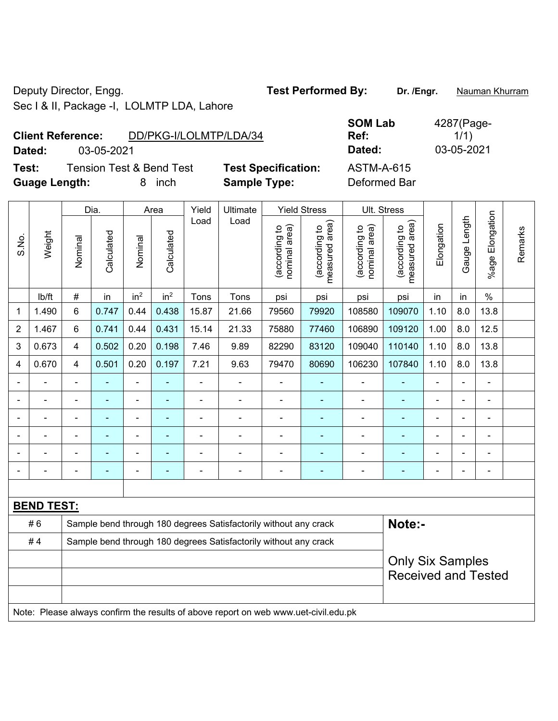Deputy Director, Engg. **Test Performed By:** Dr. /Engr. **Nauman Khurram** 

Sec I & II, Package -I, LOLMTP LDA, Lahore

**Client Reference:** DD/PKG-I/LOLMTP/LDA/34 **Dated:** 03-05-2021 **Dated:** 03-05-2021 **Test:** Tension Test & Bend Test **Test Specification:** ASTM-A-615

**Guage Length:** 8 inch **Sample Type:** Deformed Bar

|        | <b>SOM Lab</b> |
|--------|----------------|
|        | Ref:           |
|        | Dated:         |
| ation: | ASTM-A-61      |

**Some** 1

4287(Page- $1/1)$ 

|        |                                                                  |                   |                 |                 | Yield          | Ultimate                 |                               |                                 |                                                                                         |                                 |                |                |                |                                       |
|--------|------------------------------------------------------------------|-------------------|-----------------|-----------------|----------------|--------------------------|-------------------------------|---------------------------------|-----------------------------------------------------------------------------------------|---------------------------------|----------------|----------------|----------------|---------------------------------------|
| Weight | Nominal                                                          | Calculated        | Nominal         | Calculated      | Load           | Load                     | nominal area)<br>according to | measured area)<br>(according to | nominal area)<br>(according to                                                          | (according to<br>measured area) | Elongation     |                | $%$ age        | Remarks                               |
| lb/ft  | $\#$                                                             | in                | in <sup>2</sup> | in <sup>2</sup> | Tons           | Tons                     | psi                           | psi                             | psi                                                                                     | psi                             | in             | in             | $\%$           |                                       |
| 1.490  | 6                                                                | 0.747             | 0.44            | 0.438           | 15.87          | 21.66                    | 79560                         | 79920                           | 108580                                                                                  | 109070                          | 1.10           | 8.0            | 13.8           |                                       |
| 1.467  | 6                                                                | 0.741             | 0.44            | 0.431           | 15.14          | 21.33                    | 75880                         | 77460                           | 106890                                                                                  | 109120                          | 1.00           | 8.0            | 12.5           |                                       |
| 0.673  | 4                                                                | 0.502             | 0.20            | 0.198           | 7.46           | 9.89                     | 82290                         | 83120                           | 109040                                                                                  | 110140                          | 1.10           | 8.0            | 13.8           |                                       |
| 0.670  | 4                                                                | 0.501             | 0.20            | 0.197           | 7.21           | 9.63                     | 79470                         | 80690                           | 106230                                                                                  | 107840                          | 1.10           | 8.0            | 13.8           |                                       |
|        | $\blacksquare$                                                   | ä,                | $\blacksquare$  |                 | ä,             | $\blacksquare$           | ä,                            | $\blacksquare$                  | $\blacksquare$                                                                          | $\blacksquare$                  | L.             |                | $\blacksquare$ |                                       |
|        |                                                                  | $\blacksquare$    | $\blacksquare$  | ٠               |                | $\blacksquare$           | Ē,                            | ٠                               | $\blacksquare$                                                                          | $\blacksquare$                  | $\blacksquare$ |                |                |                                       |
|        |                                                                  |                   | ÷               |                 | L.             | $\blacksquare$           |                               |                                 | $\blacksquare$                                                                          |                                 |                |                | $\blacksquare$ |                                       |
|        | $\blacksquare$                                                   | $\blacksquare$    | $\blacksquare$  | $\blacksquare$  | $\blacksquare$ | $\blacksquare$           | $\blacksquare$                | ٠                               | $\blacksquare$                                                                          | ÷                               | $\blacksquare$ | ÷              | $\blacksquare$ |                                       |
|        | $\blacksquare$                                                   | $\blacksquare$    | $\blacksquare$  | $\blacksquare$  | ä,             | $\blacksquare$           | $\blacksquare$                | ٠                               | $\blacksquare$                                                                          | ٠                               | $\blacksquare$ | $\blacksquare$ | $\blacksquare$ |                                       |
|        |                                                                  |                   |                 |                 |                | $\overline{\phantom{0}}$ |                               |                                 |                                                                                         |                                 |                |                | $\blacksquare$ |                                       |
|        |                                                                  |                   |                 |                 |                |                          |                               |                                 |                                                                                         |                                 |                |                |                |                                       |
|        |                                                                  |                   |                 |                 |                |                          |                               |                                 |                                                                                         |                                 |                |                |                |                                       |
|        |                                                                  |                   |                 |                 |                |                          |                               |                                 |                                                                                         |                                 |                |                |                |                                       |
|        | Sample bend through 180 degrees Satisfactorily without any crack |                   |                 |                 |                |                          |                               |                                 |                                                                                         |                                 |                |                |                |                                       |
|        |                                                                  |                   |                 |                 |                |                          |                               |                                 |                                                                                         |                                 |                |                |                |                                       |
|        |                                                                  |                   |                 |                 |                |                          |                               |                                 |                                                                                         | <b>Received and Tested</b>      |                |                |                |                                       |
|        |                                                                  |                   |                 |                 |                |                          |                               |                                 |                                                                                         |                                 |                |                |                |                                       |
|        | #6<br>#4                                                         | <b>BEND TEST:</b> | Dia.            |                 | Area           |                          |                               |                                 | <b>Yield Stress</b><br>Sample bend through 180 degrees Satisfactorily without any crack |                                 | Ult. Stress    | Note:-         | Gauge Length   | Elongation<br><b>Only Six Samples</b> |

Note: Please always confirm the results of above report on web www.uet-civil.edu.pk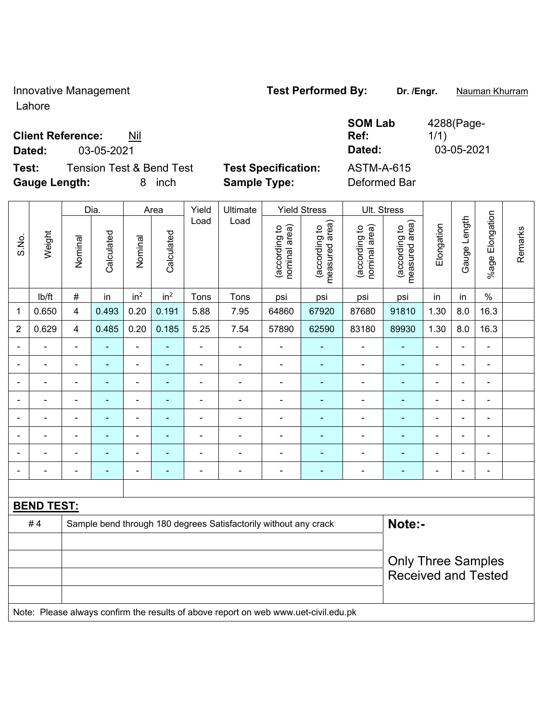Innovative Management **Test Performed By:** Dr. /Engr. **Nauman Khurram** 

**SOM Lab Ref:** 

Lahore

**Client Reference:** Nil

**Dated:** 03-05-2021 **Dated:** 03-05-2021

**Test:** Tension Test & Bend Test **Test Specification:** ASTM-A-615 **Gauge Length:** 8 inch **Sample Type:** Deformed Bar

| S.No.             | Weight                                                                              | Dia.                                                             |                | Area                     |                 | Yield          | Ultimate                 | <b>Yield Stress</b>            |                                 | Ult. Stress                    |                                 |                           |              |                              |         |  |
|-------------------|-------------------------------------------------------------------------------------|------------------------------------------------------------------|----------------|--------------------------|-----------------|----------------|--------------------------|--------------------------------|---------------------------------|--------------------------------|---------------------------------|---------------------------|--------------|------------------------------|---------|--|
|                   |                                                                                     | Nominal                                                          | Calculated     | Nominal                  | Calculated      | Load           | Load                     | (according to<br>nominal area) | (according to<br>measured area) | (according to<br>nominal area) | measured area)<br>(according to | Elongation                | Gauge Length | Elongation<br>$%$ age        | Remarks |  |
|                   | lb/ft                                                                               | $\#$                                                             | in             | in <sup>2</sup>          | in <sup>2</sup> | Tons           | Tons                     | psi                            | psi                             | psi                            | psi                             | in                        | in           | $\%$                         |         |  |
| 1                 | 0.650                                                                               | 4                                                                | 0.493          | 0.20                     | 0.191           | 5.88           | 7.95                     | 64860                          | 67920                           | 87680                          | 91810                           | 1.30                      | 8.0          | 16.3                         |         |  |
| $\overline{2}$    | 0.629                                                                               | 4                                                                | 0.485          | 0.20                     | 0.185           | 5.25           | 7.54                     | 57890                          | 62590                           | 83180                          | 89930                           | 1.30                      | 8.0          | 16.3                         |         |  |
|                   |                                                                                     | $\blacksquare$                                                   |                | $\blacksquare$           | ٠               | $\blacksquare$ |                          | $\blacksquare$                 |                                 | $\blacksquare$                 | $\blacksquare$                  | $\blacksquare$            |              | $\blacksquare$               |         |  |
|                   |                                                                                     | $\blacksquare$                                                   | $\blacksquare$ | $\overline{\phantom{a}}$ | ۰               | $\blacksquare$ | $\overline{\phantom{a}}$ | $\overline{\phantom{a}}$       | $\overline{a}$                  | $\overline{\phantom{a}}$       | $\blacksquare$                  | $\blacksquare$            |              | $\qquad \qquad \blacksquare$ |         |  |
|                   |                                                                                     | $\blacksquare$                                                   | $\blacksquare$ | $\overline{\phantom{a}}$ | $\blacksquare$  | $\overline{a}$ | ä,                       | $\blacksquare$                 | ٠                               | $\overline{\phantom{0}}$       | $\blacksquare$                  | $\blacksquare$            |              | $\blacksquare$               |         |  |
|                   |                                                                                     | $\blacksquare$                                                   | ÷              | $\blacksquare$           | ÷               | $\blacksquare$ | $\blacksquare$           | $\blacksquare$                 | $\overline{a}$                  | ÷                              | ä,                              | $\blacksquare$            |              | $\qquad \qquad \blacksquare$ |         |  |
|                   |                                                                                     | $\blacksquare$                                                   | ÷,             | $\blacksquare$           | ۰               |                | $\blacksquare$           | $\blacksquare$                 |                                 | Ĭ.                             | $\blacksquare$                  | $\blacksquare$            |              | $\blacksquare$               |         |  |
|                   |                                                                                     | ä,                                                               | ÷,             | ÷                        | ۰               |                |                          |                                |                                 | -                              |                                 | $\blacksquare$            |              | ÷,                           |         |  |
|                   |                                                                                     | L,                                                               |                | ۰                        |                 |                | $\blacksquare$           | $\blacksquare$                 |                                 | ۰                              | $\blacksquare$                  | $\blacksquare$            |              | ۰                            |         |  |
|                   |                                                                                     | ä,                                                               | $\blacksquare$ | $\overline{\phantom{a}}$ | ÷               | $\blacksquare$ | $\blacksquare$           | $\overline{\phantom{a}}$       | ٠                               | $\qquad \qquad \blacksquare$   | $\blacksquare$                  | $\blacksquare$            |              | $\blacksquare$               |         |  |
|                   |                                                                                     |                                                                  |                |                          |                 |                |                          |                                |                                 |                                |                                 |                           |              |                              |         |  |
| <b>BEND TEST:</b> |                                                                                     |                                                                  |                |                          |                 |                |                          |                                |                                 |                                |                                 |                           |              |                              |         |  |
|                   | #4                                                                                  | Sample bend through 180 degrees Satisfactorily without any crack |                |                          |                 |                |                          |                                |                                 |                                | Note:-                          |                           |              |                              |         |  |
|                   |                                                                                     |                                                                  |                |                          |                 |                |                          |                                |                                 |                                |                                 |                           |              |                              |         |  |
|                   |                                                                                     |                                                                  |                |                          |                 |                |                          |                                |                                 |                                |                                 | <b>Only Three Samples</b> |              |                              |         |  |
|                   |                                                                                     |                                                                  |                |                          |                 |                |                          |                                |                                 |                                | <b>Received and Tested</b>      |                           |              |                              |         |  |
|                   |                                                                                     |                                                                  |                |                          |                 |                |                          |                                |                                 |                                |                                 |                           |              |                              |         |  |
|                   | Note: Please always confirm the results of above report on web www.uet-civil.edu.pk |                                                                  |                |                          |                 |                |                          |                                |                                 |                                |                                 |                           |              |                              |         |  |

4288(Page-

1/1)